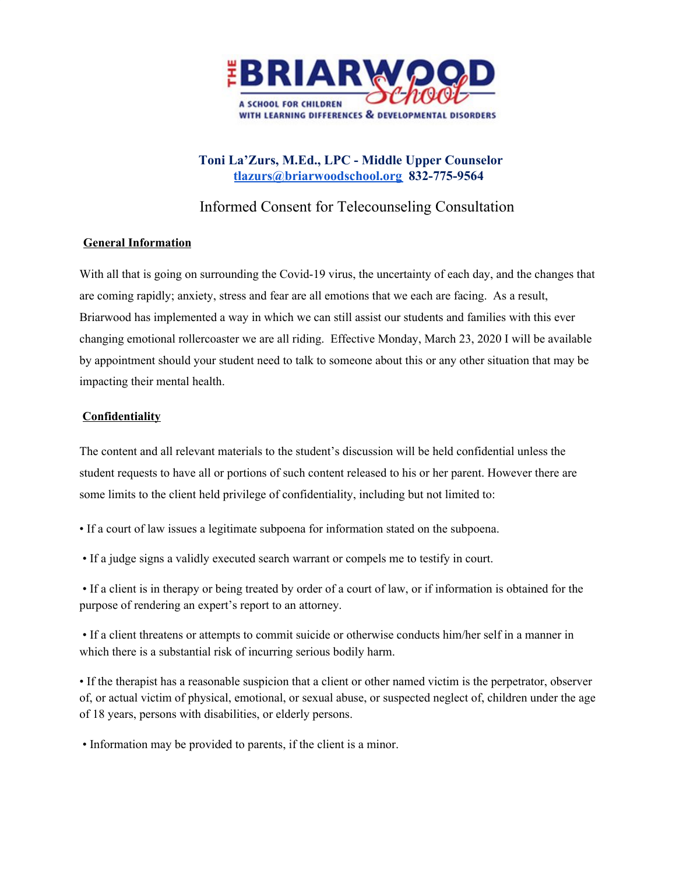

# **Toni La'Zurs, M.Ed., LPC - Middle Upper Counselor [tlazurs@briarwoodschool.org](mailto:tlazurs@briarwoodschool.org) 832-775-9564**

# Informed Consent for Telecounseling Consultation

## **General Information**

With all that is going on surrounding the Covid-19 virus, the uncertainty of each day, and the changes that are coming rapidly; anxiety, stress and fear are all emotions that we each are facing. As a result, Briarwood has implemented a way in which we can still assist our students and families with this ever changing emotional rollercoaster we are all riding. Effective Monday, March 23, 2020 I will be available by appointment should your student need to talk to someone about this or any other situation that may be impacting their mental health.

## **Confidentiality**

The content and all relevant materials to the student's discussion will be held confidential unless the student requests to have all or portions of such content released to his or her parent. However there are some limits to the client held privilege of confidentiality, including but not limited to:

- If a court of law issues a legitimate subpoena for information stated on the subpoena.
- If a judge signs a validly executed search warrant or compels me to testify in court.

• If a client is in therapy or being treated by order of a court of law, or if information is obtained for the purpose of rendering an expert's report to an attorney.

• If a client threatens or attempts to commit suicide or otherwise conducts him/her self in a manner in which there is a substantial risk of incurring serious bodily harm.

• If the therapist has a reasonable suspicion that a client or other named victim is the perpetrator, observer of, or actual victim of physical, emotional, or sexual abuse, or suspected neglect of, children under the age of 18 years, persons with disabilities, or elderly persons.

• Information may be provided to parents, if the client is a minor.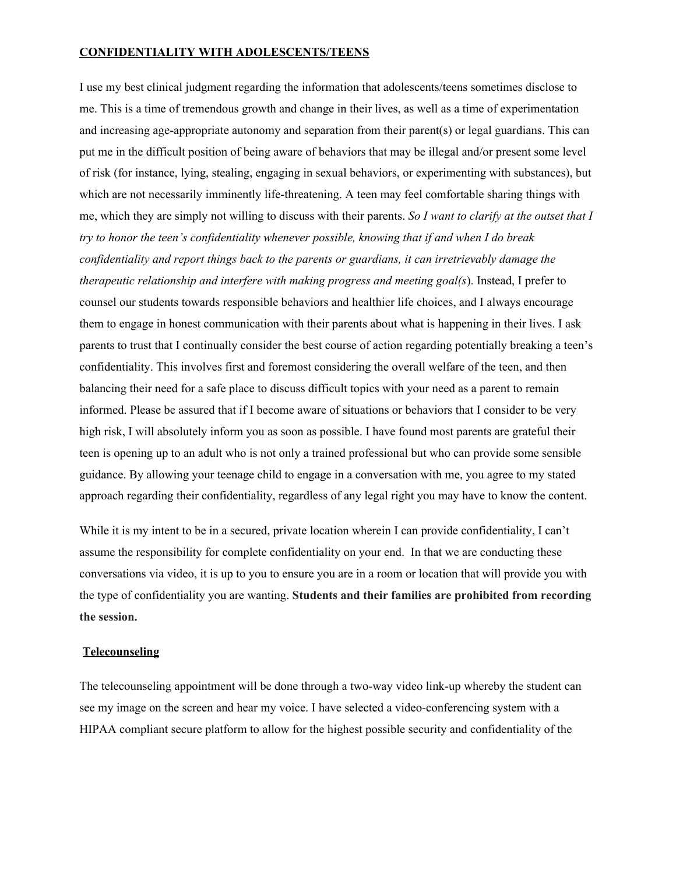#### **CONFIDENTIALITY WITH ADOLESCENTS/TEENS**

I use my best clinical judgment regarding the information that adolescents/teens sometimes disclose to me. This is a time of tremendous growth and change in their lives, as well as a time of experimentation and increasing age-appropriate autonomy and separation from their parent(s) or legal guardians. This can put me in the difficult position of being aware of behaviors that may be illegal and/or present some level of risk (for instance, lying, stealing, engaging in sexual behaviors, or experimenting with substances), but which are not necessarily imminently life-threatening. A teen may feel comfortable sharing things with me, which they are simply not willing to discuss with their parents. *So I want to clarify at the outset that I try to honor the teen's confidentiality whenever possible, knowing that if and when I do break confidentiality and report things back to the parents or guardians, it can irretrievably damage the therapeutic relationship and interfere with making progress and meeting goal(s*). Instead, I prefer to counsel our students towards responsible behaviors and healthier life choices, and I always encourage them to engage in honest communication with their parents about what is happening in their lives. I ask parents to trust that I continually consider the best course of action regarding potentially breaking a teen's confidentiality. This involves first and foremost considering the overall welfare of the teen, and then balancing their need for a safe place to discuss difficult topics with your need as a parent to remain informed. Please be assured that if I become aware of situations or behaviors that I consider to be very high risk, I will absolutely inform you as soon as possible. I have found most parents are grateful their teen is opening up to an adult who is not only a trained professional but who can provide some sensible guidance. By allowing your teenage child to engage in a conversation with me, you agree to my stated approach regarding their confidentiality, regardless of any legal right you may have to know the content.

While it is my intent to be in a secured, private location wherein I can provide confidentiality, I can't assume the responsibility for complete confidentiality on your end. In that we are conducting these conversations via video, it is up to you to ensure you are in a room or location that will provide you with the type of confidentiality you are wanting. **Students and their families are prohibited from recording the session.**

### **Telecounseling**

The telecounseling appointment will be done through a two-way video link-up whereby the student can see my image on the screen and hear my voice. I have selected a video-conferencing system with a HIPAA compliant secure platform to allow for the highest possible security and confidentiality of the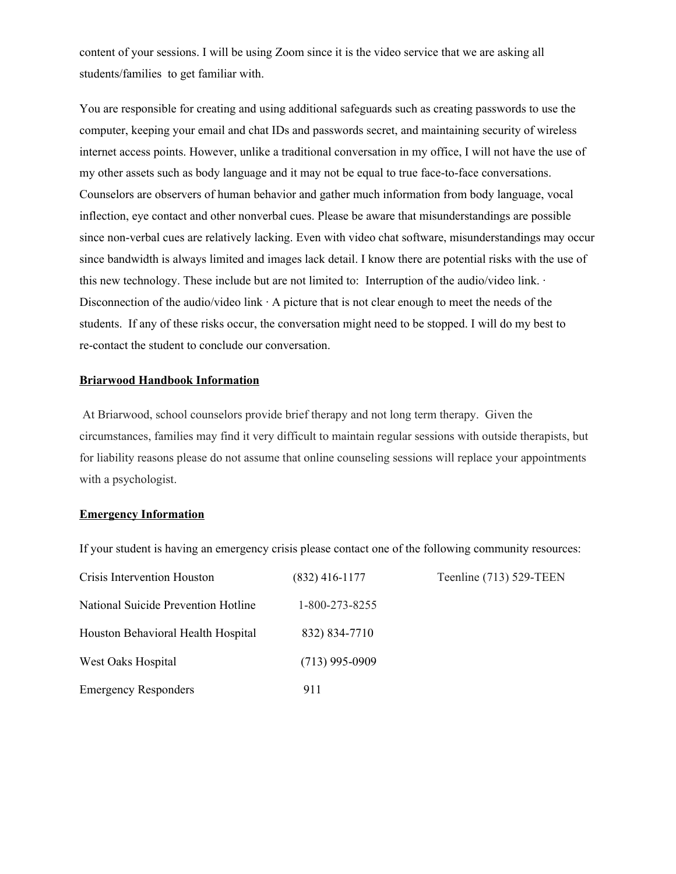content of your sessions. I will be using Zoom since it is the video service that we are asking all students/families to get familiar with.

You are responsible for creating and using additional safeguards such as creating passwords to use the computer, keeping your email and chat IDs and passwords secret, and maintaining security of wireless internet access points. However, unlike a traditional conversation in my office, I will not have the use of my other assets such as body language and it may not be equal to true face-to-face conversations. Counselors are observers of human behavior and gather much information from body language, vocal inflection, eye contact and other nonverbal cues. Please be aware that misunderstandings are possible since non-verbal cues are relatively lacking. Even with video chat software, misunderstandings may occur since bandwidth is always limited and images lack detail. I know there are potential risks with the use of this new technology. These include but are not limited to: Interruption of the audio/video link. · Disconnection of the audio/video link  $\cdot$  A picture that is not clear enough to meet the needs of the students. If any of these risks occur, the conversation might need to be stopped. I will do my best to re-contact the student to conclude our conversation.

### **Briarwood Handbook Information**

At Briarwood, school counselors provide brief therapy and not long term therapy. Given the circumstances, families may find it very difficult to maintain regular sessions with outside therapists, but for liability reasons please do not assume that online counseling sessions will replace your appointments with a psychologist.

## **Emergency Information**

If your student is having an emergency crisis please contact one of the following community resources:

| Crisis Intervention Houston         | $(832)$ 416-1177 | Teenline (713) 529-TEEN |
|-------------------------------------|------------------|-------------------------|
| National Suicide Prevention Hotline | 1-800-273-8255   |                         |
| Houston Behavioral Health Hospital  | 832) 834-7710    |                         |
| West Oaks Hospital                  | $(713)$ 995-0909 |                         |
| <b>Emergency Responders</b>         | 911              |                         |